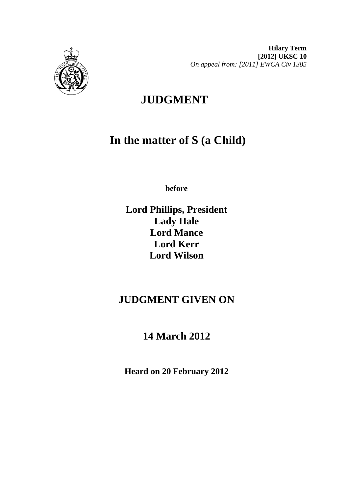

**Hilary Term [2012] UKSC 10**  *On appeal from: [2011] EWCA Civ 1385* 

# **JUDGMENT**

# **In the matter of S (a Child)**

**before** 

**Lord Phillips, President Lady Hale Lord Mance Lord Kerr Lord Wilson**

# **JUDGMENT GIVEN ON**

# **14 March 2012**

**Heard on 20 February 2012**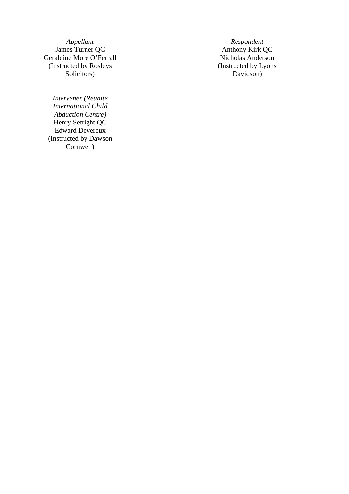*Appellant* Respondent James Turner QC **Authority Respondent** Anthony Kirk **C** Geraldine More O'Ferrall (Instructed by Rosleys Solicitors)

*Intervener (Reunite International Child Abduction Centre)*  Henry Setright QC Edward Devereux (Instructed by Dawson Cornwell)

Anthony Kirk QC<br>Nicholas Anderson (Instructed by Lyons Davidson)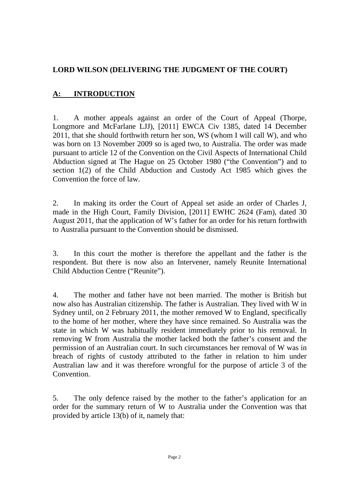### **LORD WILSON (DELIVERING THE JUDGMENT OF THE COURT)**

## **A: INTRODUCTION**

1. A mother appeals against an order of the Court of Appeal (Thorpe, Longmore and McFarlane LJJ), [2011] EWCA Civ 1385, dated 14 December 2011, that she should forthwith return her son, WS (whom I will call W), and who was born on 13 November 2009 so is aged two, to Australia. The order was made pursuant to article 12 of the Convention on the Civil Aspects of International Child Abduction signed at The Hague on 25 October 1980 ("the Convention") and to section 1(2) of the Child Abduction and Custody Act 1985 which gives the Convention the force of law.

2. In making its order the Court of Appeal set aside an order of Charles J, made in the High Court, Family Division, [2011] EWHC 2624 (Fam), dated 30 August 2011, that the application of W's father for an order for his return forthwith to Australia pursuant to the Convention should be dismissed.

3. In this court the mother is therefore the appellant and the father is the respondent. But there is now also an Intervener, namely Reunite International Child Abduction Centre ("Reunite").

4. The mother and father have not been married. The mother is British but now also has Australian citizenship. The father is Australian. They lived with W in Sydney until, on 2 February 2011, the mother removed W to England, specifically to the home of her mother, where they have since remained. So Australia was the state in which W was habitually resident immediately prior to his removal. In removing W from Australia the mother lacked both the father's consent and the permission of an Australian court. In such circumstances her removal of W was in breach of rights of custody attributed to the father in relation to him under Australian law and it was therefore wrongful for the purpose of article 3 of the Convention.

5. The only defence raised by the mother to the father's application for an order for the summary return of W to Australia under the Convention was that provided by article 13(b) of it, namely that: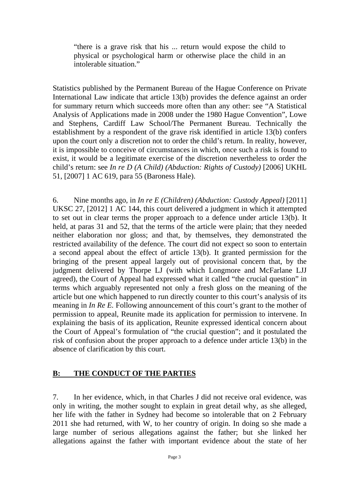"there is a grave risk that his ... return would expose the child to physical or psychological harm or otherwise place the child in an intolerable situation."

Statistics published by the Permanent Bureau of the Hague Conference on Private International Law indicate that article 13(b) provides the defence against an order for summary return which succeeds more often than any other: see "A Statistical Analysis of Applications made in 2008 under the 1980 Hague Convention", Lowe and Stephens, Cardiff Law School/The Permanent Bureau. Technically the establishment by a respondent of the grave risk identified in article 13(b) confers upon the court only a discretion not to order the child's return. In reality, however, it is impossible to conceive of circumstances in which, once such a risk is found to exist, it would be a legitimate exercise of the discretion nevertheless to order the child's return: see *In re D (A Child) (Abduction: Rights of Custody)* [2006] UKHL 51, [2007] 1 AC 619, para 55 (Baroness Hale).

6. Nine months ago, in *In re E (Children) (Abduction: Custody Appeal)* [2011] UKSC 27, [2012] 1 AC 144, this court delivered a judgment in which it attempted to set out in clear terms the proper approach to a defence under article 13(b). It held, at paras 31 and 52, that the terms of the article were plain; that they needed neither elaboration nor gloss; and that, by themselves, they demonstrated the restricted availability of the defence. The court did not expect so soon to entertain a second appeal about the effect of article 13(b). It granted permission for the bringing of the present appeal largely out of provisional concern that, by the judgment delivered by Thorpe LJ (with which Longmore and McFarlane LJJ agreed), the Court of Appeal had expressed what it called "the crucial question" in terms which arguably represented not only a fresh gloss on the meaning of the article but one which happened to run directly counter to this court's analysis of its meaning in *In Re E.* Following announcement of this court's grant to the mother of permission to appeal, Reunite made its application for permission to intervene. In explaining the basis of its application, Reunite expressed identical concern about the Court of Appeal's formulation of "the crucial question"; and it postulated the risk of confusion about the proper approach to a defence under article 13(b) in the absence of clarification by this court.

#### **B: THE CONDUCT OF THE PARTIES**

7. In her evidence, which, in that Charles J did not receive oral evidence, was only in writing, the mother sought to explain in great detail why, as she alleged, her life with the father in Sydney had become so intolerable that on 2 February 2011 she had returned, with W, to her country of origin. In doing so she made a large number of serious allegations against the father; but she linked her allegations against the father with important evidence about the state of her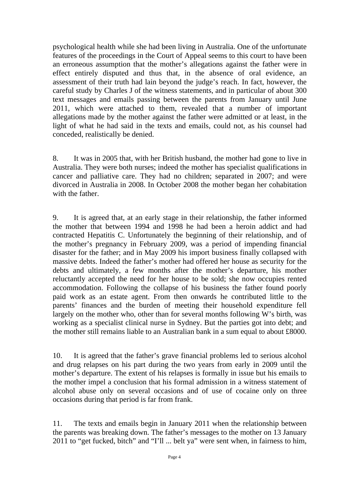psychological health while she had been living in Australia. One of the unfortunate features of the proceedings in the Court of Appeal seems to this court to have been an erroneous assumption that the mother's allegations against the father were in effect entirely disputed and thus that, in the absence of oral evidence, an assessment of their truth had lain beyond the judge's reach. In fact, however, the careful study by Charles J of the witness statements, and in particular of about 300 text messages and emails passing between the parents from January until June 2011, which were attached to them, revealed that a number of important allegations made by the mother against the father were admitted or at least, in the light of what he had said in the texts and emails, could not, as his counsel had conceded, realistically be denied.

8. It was in 2005 that, with her British husband, the mother had gone to live in Australia. They were both nurses; indeed the mother has specialist qualifications in cancer and palliative care. They had no children; separated in 2007; and were divorced in Australia in 2008. In October 2008 the mother began her cohabitation with the father.

9. It is agreed that, at an early stage in their relationship, the father informed the mother that between 1994 and 1998 he had been a heroin addict and had contracted Hepatitis C. Unfortunately the beginning of their relationship, and of the mother's pregnancy in February 2009, was a period of impending financial disaster for the father; and in May 2009 his import business finally collapsed with massive debts. Indeed the father's mother had offered her house as security for the debts and ultimately, a few months after the mother's departure, his mother reluctantly accepted the need for her house to be sold; she now occupies rented accommodation. Following the collapse of his business the father found poorly paid work as an estate agent. From then onwards he contributed little to the parents' finances and the burden of meeting their household expenditure fell largely on the mother who, other than for several months following W's birth, was working as a specialist clinical nurse in Sydney. But the parties got into debt; and the mother still remains liable to an Australian bank in a sum equal to about £8000.

10. It is agreed that the father's grave financial problems led to serious alcohol and drug relapses on his part during the two years from early in 2009 until the mother's departure. The extent of his relapses is formally in issue but his emails to the mother impel a conclusion that his formal admission in a witness statement of alcohol abuse only on several occasions and of use of cocaine only on three occasions during that period is far from frank.

11. The texts and emails begin in January 2011 when the relationship between the parents was breaking down. The father's messages to the mother on 13 January 2011 to "get fucked, bitch" and "I'll ... belt ya" were sent when, in fairness to him,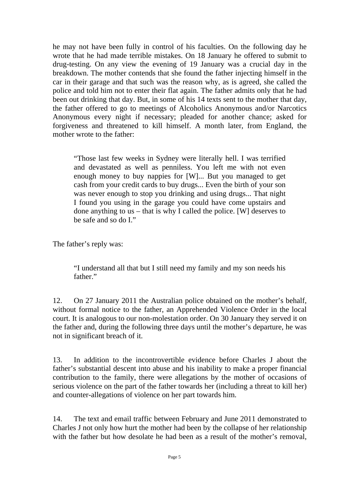he may not have been fully in control of his faculties. On the following day he wrote that he had made terrible mistakes. On 18 January he offered to submit to drug-testing. On any view the evening of 19 January was a crucial day in the breakdown. The mother contends that she found the father injecting himself in the car in their garage and that such was the reason why, as is agreed, she called the police and told him not to enter their flat again. The father admits only that he had been out drinking that day. But, in some of his 14 texts sent to the mother that day, the father offered to go to meetings of Alcoholics Anonymous and/or Narcotics Anonymous every night if necessary; pleaded for another chance; asked for forgiveness and threatened to kill himself. A month later, from England, the mother wrote to the father:

"Those last few weeks in Sydney were literally hell. I was terrified and devastated as well as penniless. You left me with not even enough money to buy nappies for [W]... But you managed to get cash from your credit cards to buy drugs... Even the birth of your son was never enough to stop you drinking and using drugs... That night I found you using in the garage you could have come upstairs and done anything to us – that is why I called the police. [W] deserves to be safe and so do I."

The father's reply was:

"I understand all that but I still need my family and my son needs his father."

12. On 27 January 2011 the Australian police obtained on the mother's behalf, without formal notice to the father, an Apprehended Violence Order in the local court. It is analogous to our non-molestation order. On 30 January they served it on the father and, during the following three days until the mother's departure, he was not in significant breach of it.

13. In addition to the incontrovertible evidence before Charles J about the father's substantial descent into abuse and his inability to make a proper financial contribution to the family, there were allegations by the mother of occasions of serious violence on the part of the father towards her (including a threat to kill her) and counter-allegations of violence on her part towards him.

14. The text and email traffic between February and June 2011 demonstrated to Charles J not only how hurt the mother had been by the collapse of her relationship with the father but how desolate he had been as a result of the mother's removal,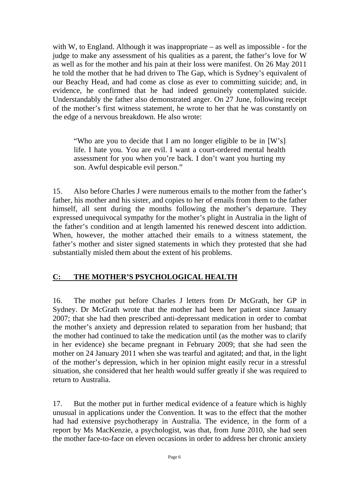with W, to England. Although it was inappropriate – as well as impossible - for the judge to make any assessment of his qualities as a parent, the father's love for W as well as for the mother and his pain at their loss were manifest. On 26 May 2011 he told the mother that he had driven to The Gap, which is Sydney's equivalent of our Beachy Head, and had come as close as ever to committing suicide; and, in evidence, he confirmed that he had indeed genuinely contemplated suicide. Understandably the father also demonstrated anger. On 27 June, following receipt of the mother's first witness statement, he wrote to her that he was constantly on the edge of a nervous breakdown. He also wrote:

"Who are you to decide that I am no longer eligible to be in [W's] life. I hate you. You are evil. I want a court-ordered mental health assessment for you when you're back. I don't want you hurting my son. Awful despicable evil person."

15. Also before Charles J were numerous emails to the mother from the father's father, his mother and his sister, and copies to her of emails from them to the father himself, all sent during the months following the mother's departure. They expressed unequivocal sympathy for the mother's plight in Australia in the light of the father's condition and at length lamented his renewed descent into addiction. When, however, the mother attached their emails to a witness statement, the father's mother and sister signed statements in which they protested that she had substantially misled them about the extent of his problems.

## **C: THE MOTHER'S PSYCHOLOGICAL HEALTH**

16. The mother put before Charles J letters from Dr McGrath, her GP in Sydney. Dr McGrath wrote that the mother had been her patient since January 2007; that she had then prescribed anti-depressant medication in order to combat the mother's anxiety and depression related to separation from her husband; that the mother had continued to take the medication until (as the mother was to clarify in her evidence) she became pregnant in February 2009; that she had seen the mother on 24 January 2011 when she was tearful and agitated; and that, in the light of the mother's depression, which in her opinion might easily recur in a stressful situation, she considered that her health would suffer greatly if she was required to return to Australia.

17. But the mother put in further medical evidence of a feature which is highly unusual in applications under the Convention. It was to the effect that the mother had had extensive psychotherapy in Australia. The evidence, in the form of a report by Ms MacKenzie, a psychologist, was that, from June 2010, she had seen the mother face-to-face on eleven occasions in order to address her chronic anxiety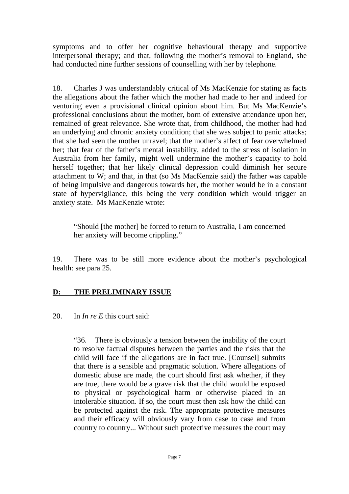symptoms and to offer her cognitive behavioural therapy and supportive interpersonal therapy; and that, following the mother's removal to England, she had conducted nine further sessions of counselling with her by telephone.

18. Charles J was understandably critical of Ms MacKenzie for stating as facts the allegations about the father which the mother had made to her and indeed for venturing even a provisional clinical opinion about him. But Ms MacKenzie's professional conclusions about the mother, born of extensive attendance upon her, remained of great relevance. She wrote that, from childhood, the mother had had an underlying and chronic anxiety condition; that she was subject to panic attacks; that she had seen the mother unravel; that the mother's affect of fear overwhelmed her; that fear of the father's mental instability, added to the stress of isolation in Australia from her family, might well undermine the mother's capacity to hold herself together; that her likely clinical depression could diminish her secure attachment to W; and that, in that (so Ms MacKenzie said) the father was capable of being impulsive and dangerous towards her, the mother would be in a constant state of hypervigilance, this being the very condition which would trigger an anxiety state. Ms MacKenzie wrote:

"Should [the mother] be forced to return to Australia, I am concerned her anxiety will become crippling."

19. There was to be still more evidence about the mother's psychological health: see para 25.

#### **D: THE PRELIMINARY ISSUE**

20. In *In re E* this court said:

"36. There is obviously a tension between the inability of the court to resolve factual disputes between the parties and the risks that the child will face if the allegations are in fact true. [Counsel] submits that there is a sensible and pragmatic solution. Where allegations of domestic abuse are made, the court should first ask whether, if they are true, there would be a grave risk that the child would be exposed to physical or psychological harm or otherwise placed in an intolerable situation. If so, the court must then ask how the child can be protected against the risk. The appropriate protective measures and their efficacy will obviously vary from case to case and from country to country... Without such protective measures the court may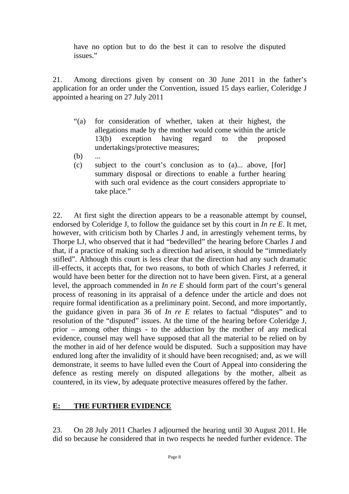have no option but to do the best it can to resolve the disputed issues."

21. Among directions given by consent on 30 June 2011 in the father's application for an order under the Convention, issued 15 days earlier, Coleridge J appointed a hearing on 27 July 2011

- "(a) for consideration of whether, taken at their highest, the allegations made by the mother would come within the article 13(b) exception having regard to the proposed undertakings/protective measures;
- $(b)$  ...
- (c) subject to the court's conclusion as to (a)... above, [for] summary disposal or directions to enable a further hearing with such oral evidence as the court considers appropriate to take place."

22. At first sight the direction appears to be a reasonable attempt by counsel, endorsed by Coleridge J, to follow the guidance set by this court in *In re E*. It met, however, with criticism both by Charles J and, in arrestingly vehement terms, by Thorpe LJ, who observed that it had "bedevilled" the hearing before Charles J and that, if a practice of making such a direction had arisen, it should be "immediately stifled". Although this court is less clear that the direction had any such dramatic ill-effects, it accepts that, for two reasons, to both of which Charles J referred, it would have been better for the direction not to have been given. First, at a general level, the approach commended in *In re E* should form part of the court's general process of reasoning in its appraisal of a defence under the article and does not require formal identification as a preliminary point. Second, and more importantly, the guidance given in para 36 of *In re E* relates to factual "disputes" and to resolution of the "disputed" issues. At the time of the hearing before Coleridge J, prior – among other things - to the adduction by the mother of any medical evidence, counsel may well have supposed that all the material to be relied on by the mother in aid of her defence would be disputed. Such a supposition may have endured long after the invalidity of it should have been recognised; and, as we will demonstrate, it seems to have lulled even the Court of Appeal into considering the defence as resting merely on disputed allegations by the mother, albeit as countered, in its view, by adequate protective measures offered by the father.

#### **E: THE FURTHER EVIDENCE**

23. On 28 July 2011 Charles J adjourned the hearing until 30 August 2011. He did so because he considered that in two respects he needed further evidence. The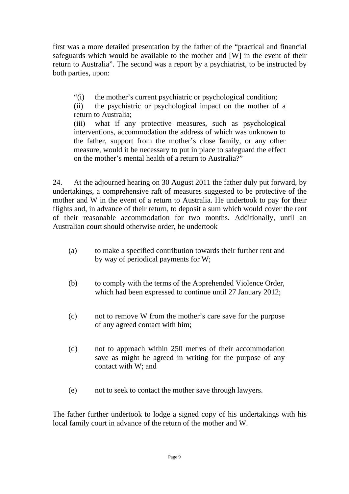first was a more detailed presentation by the father of the "practical and financial safeguards which would be available to the mother and [W] in the event of their return to Australia". The second was a report by a psychiatrist, to be instructed by both parties, upon:

"(i) the mother's current psychiatric or psychological condition;

(ii) the psychiatric or psychological impact on the mother of a return to Australia;

(iii) what if any protective measures, such as psychological interventions, accommodation the address of which was unknown to the father, support from the mother's close family, or any other measure, would it be necessary to put in place to safeguard the effect on the mother's mental health of a return to Australia?"

24. At the adjourned hearing on 30 August 2011 the father duly put forward, by undertakings, a comprehensive raft of measures suggested to be protective of the mother and W in the event of a return to Australia. He undertook to pay for their flights and, in advance of their return, to deposit a sum which would cover the rent of their reasonable accommodation for two months. Additionally, until an Australian court should otherwise order, he undertook

- (a) to make a specified contribution towards their further rent and by way of periodical payments for W;
- (b) to comply with the terms of the Apprehended Violence Order, which had been expressed to continue until 27 January 2012;
- (c) not to remove W from the mother's care save for the purpose of any agreed contact with him;
- (d) not to approach within 250 metres of their accommodation save as might be agreed in writing for the purpose of any contact with W; and
- (e) not to seek to contact the mother save through lawyers.

The father further undertook to lodge a signed copy of his undertakings with his local family court in advance of the return of the mother and W.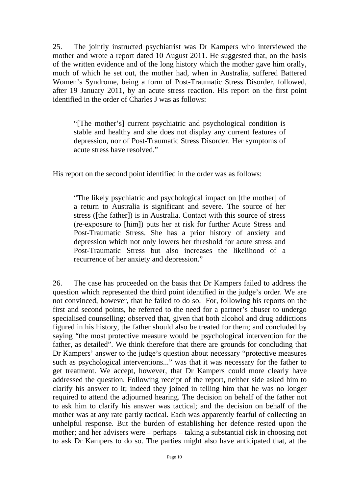25. The jointly instructed psychiatrist was Dr Kampers who interviewed the mother and wrote a report dated 10 August 2011. He suggested that, on the basis of the written evidence and of the long history which the mother gave him orally, much of which he set out, the mother had, when in Australia, suffered Battered Women's Syndrome, being a form of Post-Traumatic Stress Disorder, followed, after 19 January 2011, by an acute stress reaction. His report on the first point identified in the order of Charles J was as follows:

"[The mother's] current psychiatric and psychological condition is stable and healthy and she does not display any current features of depression, nor of Post-Traumatic Stress Disorder. Her symptoms of acute stress have resolved."

His report on the second point identified in the order was as follows:

"The likely psychiatric and psychological impact on [the mother] of a return to Australia is significant and severe. The source of her stress ([the father]) is in Australia. Contact with this source of stress (re-exposure to [him]) puts her at risk for further Acute Stress and Post-Traumatic Stress. She has a prior history of anxiety and depression which not only lowers her threshold for acute stress and Post-Traumatic Stress but also increases the likelihood of a recurrence of her anxiety and depression."

26. The case has proceeded on the basis that Dr Kampers failed to address the question which represented the third point identified in the judge's order. We are not convinced, however, that he failed to do so. For, following his reports on the first and second points, he referred to the need for a partner's abuser to undergo specialised counselling; observed that, given that both alcohol and drug addictions figured in his history, the father should also be treated for them; and concluded by saying "the most protective measure would be psychological intervention for the father, as detailed". We think therefore that there are grounds for concluding that Dr Kampers' answer to the judge's question about necessary "protective measures such as psychological interventions..." was that it was necessary for the father to get treatment. We accept, however, that Dr Kampers could more clearly have addressed the question. Following receipt of the report, neither side asked him to clarify his answer to it; indeed they joined in telling him that he was no longer required to attend the adjourned hearing. The decision on behalf of the father not to ask him to clarify his answer was tactical; and the decision on behalf of the mother was at any rate partly tactical. Each was apparently fearful of collecting an unhelpful response. But the burden of establishing her defence rested upon the mother; and her advisers were – perhaps – taking a substantial risk in choosing not to ask Dr Kampers to do so. The parties might also have anticipated that, at the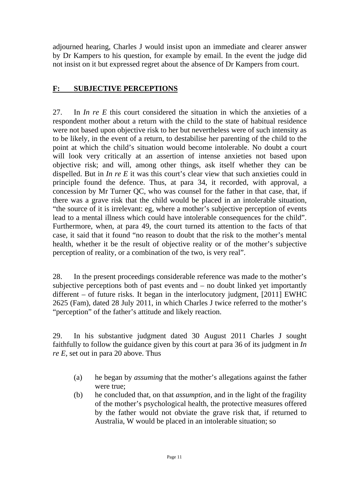adjourned hearing, Charles J would insist upon an immediate and clearer answer by Dr Kampers to his question, for example by email. In the event the judge did not insist on it but expressed regret about the absence of Dr Kampers from court.

### **F: SUBJECTIVE PERCEPTIONS**

27. In *In re E* this court considered the situation in which the anxieties of a respondent mother about a return with the child to the state of habitual residence were not based upon objective risk to her but nevertheless were of such intensity as to be likely, in the event of a return, to destabilise her parenting of the child to the point at which the child's situation would become intolerable. No doubt a court will look very critically at an assertion of intense anxieties not based upon objective risk; and will, among other things, ask itself whether they can be dispelled. But in *In re E* it was this court's clear view that such anxieties could in principle found the defence. Thus, at para 34, it recorded, with approval, a concession by Mr Turner QC, who was counsel for the father in that case, that, if there was a grave risk that the child would be placed in an intolerable situation, "the source of it is irrelevant: eg, where a mother's subjective perception of events lead to a mental illness which could have intolerable consequences for the child". Furthermore, when, at para 49, the court turned its attention to the facts of that case, it said that it found "no reason to doubt that the risk to the mother's mental health, whether it be the result of objective reality or of the mother's subjective perception of reality, or a combination of the two, is very real".

28. In the present proceedings considerable reference was made to the mother's subjective perceptions both of past events and – no doubt linked yet importantly different – of future risks. It began in the interlocutory judgment, [2011] EWHC 2625 (Fam), dated 28 July 2011, in which Charles J twice referred to the mother's "perception" of the father's attitude and likely reaction.

29. In his substantive judgment dated 30 August 2011 Charles J sought faithfully to follow the guidance given by this court at para 36 of its judgment in *In re E,* set out in para 20 above. Thus

- (a) he began by *assuming* that the mother's allegations against the father were true;
- (b) he concluded that, on that *assumption*, and in the light of the fragility of the mother's psychological health, the protective measures offered by the father would not obviate the grave risk that, if returned to Australia, W would be placed in an intolerable situation; so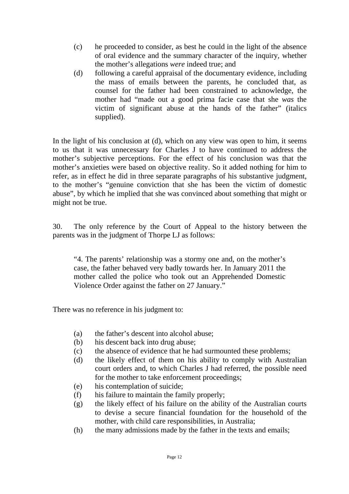- (c) he proceeded to consider, as best he could in the light of the absence of oral evidence and the summary character of the inquiry, whether the mother's allegations *were* indeed true; and
- (d) following a careful appraisal of the documentary evidence, including the mass of emails between the parents, he concluded that, as counsel for the father had been constrained to acknowledge, the mother had "made out a good prima facie case that she *was* the victim of significant abuse at the hands of the father" (italics supplied).

In the light of his conclusion at (d), which on any view was open to him, it seems to us that it was unnecessary for Charles J to have continued to address the mother's subjective perceptions. For the effect of his conclusion was that the mother's anxieties were based on objective reality. So it added nothing for him to refer, as in effect he did in three separate paragraphs of his substantive judgment, to the mother's "genuine conviction that she has been the victim of domestic abuse", by which he implied that she was convinced about something that might or might not be true.

30. The only reference by the Court of Appeal to the history between the parents was in the judgment of Thorpe LJ as follows:

"4. The parents' relationship was a stormy one and, on the mother's case, the father behaved very badly towards her. In January 2011 the mother called the police who took out an Apprehended Domestic Violence Order against the father on 27 January."

There was no reference in his judgment to:

- (a) the father's descent into alcohol abuse;
- (b) his descent back into drug abuse;
- (c) the absence of evidence that he had surmounted these problems;
- (d) the likely effect of them on his ability to comply with Australian court orders and, to which Charles J had referred, the possible need for the mother to take enforcement proceedings;
- (e) his contemplation of suicide;
- (f) his failure to maintain the family properly;
- (g) the likely effect of his failure on the ability of the Australian courts to devise a secure financial foundation for the household of the mother, with child care responsibilities, in Australia;
- (h) the many admissions made by the father in the texts and emails;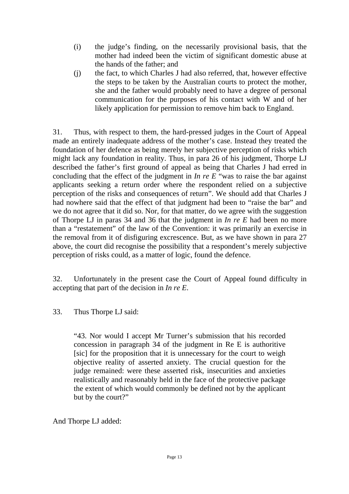- (i) the judge's finding, on the necessarily provisional basis, that the mother had indeed been the victim of significant domestic abuse at the hands of the father; and
- (j) the fact, to which Charles J had also referred, that, however effective the steps to be taken by the Australian courts to protect the mother, she and the father would probably need to have a degree of personal communication for the purposes of his contact with W and of her likely application for permission to remove him back to England.

31. Thus, with respect to them, the hard-pressed judges in the Court of Appeal made an entirely inadequate address of the mother's case. Instead they treated the foundation of her defence as being merely her subjective perception of risks which might lack any foundation in reality. Thus, in para 26 of his judgment, Thorpe LJ described the father's first ground of appeal as being that Charles J had erred in concluding that the effect of the judgment in *In re E* "was to raise the bar against applicants seeking a return order where the respondent relied on a subjective perception of the risks and consequences of return". We should add that Charles J had nowhere said that the effect of that judgment had been to "raise the bar" and we do not agree that it did so. Nor, for that matter, do we agree with the suggestion of Thorpe LJ in paras 34 and 36 that the judgment in *In re E* had been no more than a "restatement" of the law of the Convention: it was primarily an exercise in the removal from it of disfiguring excrescence. But, as we have shown in para 27 above, the court did recognise the possibility that a respondent's merely subjective perception of risks could, as a matter of logic, found the defence.

32. Unfortunately in the present case the Court of Appeal found difficulty in accepting that part of the decision in *In re E*.

#### 33. Thus Thorpe LJ said:

"43. Nor would I accept Mr Turner's submission that his recorded concession in paragraph 34 of the judgment in Re E is authoritive [sic] for the proposition that it is unnecessary for the court to weigh objective reality of asserted anxiety. The crucial question for the judge remained: were these asserted risk, insecurities and anxieties realistically and reasonably held in the face of the protective package the extent of which would commonly be defined not by the applicant but by the court?"

And Thorpe LJ added: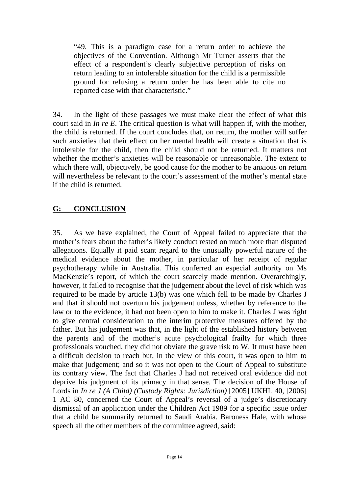"49. This is a paradigm case for a return order to achieve the objectives of the Convention. Although Mr Turner asserts that the effect of a respondent's clearly subjective perception of risks on return leading to an intolerable situation for the child is a permissible ground for refusing a return order he has been able to cite no reported case with that characteristic."

34. In the light of these passages we must make clear the effect of what this court said in *In re E*. The critical question is what will happen if, with the mother, the child is returned. If the court concludes that, on return, the mother will suffer such anxieties that their effect on her mental health will create a situation that is intolerable for the child, then the child should not be returned. It matters not whether the mother's anxieties will be reasonable or unreasonable. The extent to which there will, objectively, be good cause for the mother to be anxious on return will nevertheless be relevant to the court's assessment of the mother's mental state if the child is returned.

### **G: CONCLUSION**

35. As we have explained, the Court of Appeal failed to appreciate that the mother's fears about the father's likely conduct rested on much more than disputed allegations. Equally it paid scant regard to the unusually powerful nature of the medical evidence about the mother, in particular of her receipt of regular psychotherapy while in Australia. This conferred an especial authority on Ms MacKenzie's report, of which the court scarcely made mention. Overarchingly, however, it failed to recognise that the judgement about the level of risk which was required to be made by article 13(b) was one which fell to be made by Charles J and that it should not overturn his judgement unless, whether by reference to the law or to the evidence, it had not been open to him to make it. Charles J was right to give central consideration to the interim protective measures offered by the father. But his judgement was that, in the light of the established history between the parents and of the mother's acute psychological frailty for which three professionals vouched, they did not obviate the grave risk to W. It must have been a difficult decision to reach but, in the view of this court, it was open to him to make that judgement; and so it was not open to the Court of Appeal to substitute its contrary view. The fact that Charles J had not received oral evidence did not deprive his judgment of its primacy in that sense. The decision of the House of Lords in *In re J (A Child) (Custody Rights: Jurisdiction)* [2005] UKHL 40, [2006] 1 AC 80, concerned the Court of Appeal's reversal of a judge's discretionary dismissal of an application under the Children Act 1989 for a specific issue order that a child be summarily returned to Saudi Arabia. Baroness Hale, with whose speech all the other members of the committee agreed, said: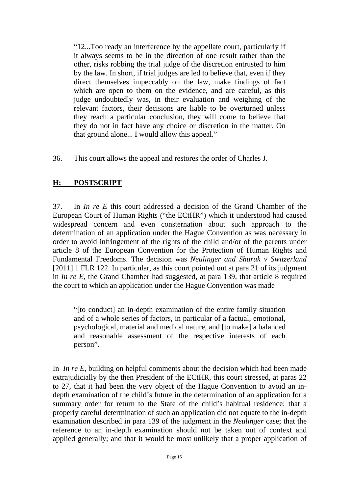"12...Too ready an interference by the appellate court, particularly if it always seems to be in the direction of one result rather than the other, risks robbing the trial judge of the discretion entrusted to him by the law. In short, if trial judges are led to believe that, even if they direct themselves impeccably on the law, make findings of fact which are open to them on the evidence, and are careful, as this judge undoubtedly was, in their evaluation and weighing of the relevant factors, their decisions are liable to be overturned unless they reach a particular conclusion, they will come to believe that they do not in fact have any choice or discretion in the matter. On that ground alone... I would allow this appeal."

36. This court allows the appeal and restores the order of Charles J.

### **H: POSTSCRIPT**

37. In *In re E* this court addressed a decision of the Grand Chamber of the European Court of Human Rights ("the ECtHR") which it understood had caused widespread concern and even consternation about such approach to the determination of an application under the Hague Convention as was necessary in order to avoid infringement of the rights of the child and/or of the parents under article 8 of the European Convention for the Protection of Human Rights and Fundamental Freedoms. The decision was *Neulinger and Shuruk v Switzerland* [2011] 1 FLR 122. In particular, as this court pointed out at para 21 of its judgment in *In re E*, the Grand Chamber had suggested, at para 139, that article 8 required the court to which an application under the Hague Convention was made

"[to conduct] an in-depth examination of the entire family situation and of a whole series of factors, in particular of a factual, emotional, psychological, material and medical nature, and [to make] a balanced and reasonable assessment of the respective interests of each person".

In *In re E*, building on helpful comments about the decision which had been made extrajudicially by the then President of the ECtHR, this court stressed, at paras 22 to 27, that it had been the very object of the Hague Convention to avoid an indepth examination of the child's future in the determination of an application for a summary order for return to the State of the child's habitual residence; that a properly careful determination of such an application did not equate to the in-depth examination described in para 139 of the judgment in the *Neulinger* case; that the reference to an in-depth examination should not be taken out of context and applied generally; and that it would be most unlikely that a proper application of